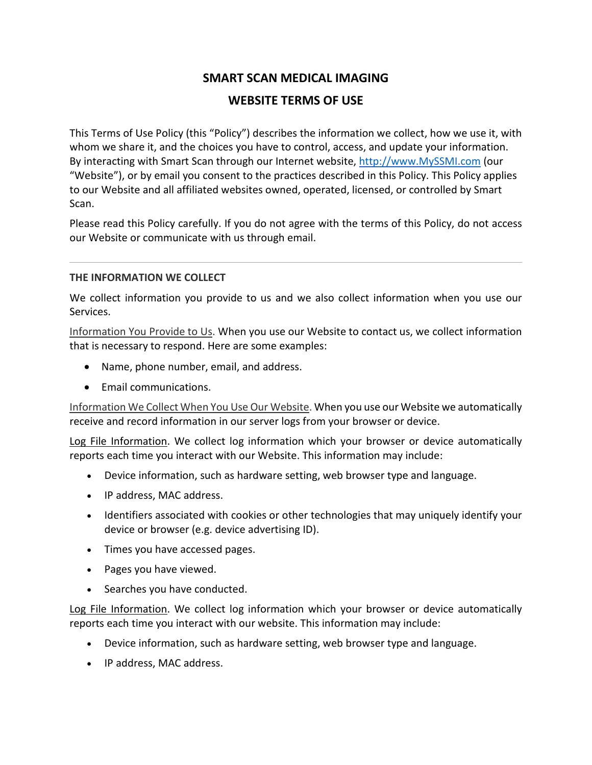# **SMART SCAN MEDICAL IMAGING WEBSITE TERMS OF USE**

This Terms of Use Policy (this "Policy") describes the information we collect, how we use it, with whom we share it, and the choices you have to control, access, and update your information. By interacting with Smart Scan through our Internet website, http://www.MySSMI.com (our "Website"), or by email you consent to the practices described in this Policy. This Policy applies to our Website and all affiliated websites owned, operated, licensed, or controlled by Smart Scan.

Please read this Policy carefully. If you do not agree with the terms of this Policy, do not access our Website or communicate with us through email.

## **THE INFORMATION WE COLLECT**

We collect information you provide to us and we also collect information when you use our Services.

Information You Provide to Us. When you use our Website to contact us, we collect information that is necessary to respond. Here are some examples:

- Name, phone number, email, and address.
- Email communications.

Information We Collect When You Use Our Website. When you use our Website we automatically receive and record information in our server logs from your browser or device.

Log File Information. We collect log information which your browser or device automatically reports each time you interact with our Website. This information may include:

- Device information, such as hardware setting, web browser type and language.
- IP address, MAC address.
- Identifiers associated with cookies or other technologies that may uniquely identify your device or browser (e.g. device advertising ID).
- Times you have accessed pages.
- Pages you have viewed.
- Searches you have conducted.

Log File Information. We collect log information which your browser or device automatically reports each time you interact with our website. This information may include:

- Device information, such as hardware setting, web browser type and language.
- IP address, MAC address.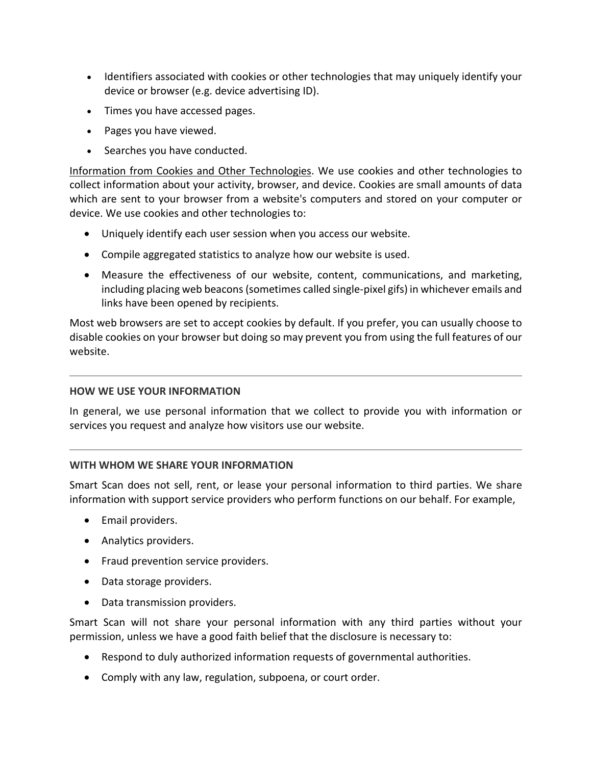- Identifiers associated with cookies or other technologies that may uniquely identify your device or browser (e.g. device advertising ID).
- Times you have accessed pages.
- Pages you have viewed.
- Searches you have conducted.

Information from Cookies and Other Technologies. We use cookies and other technologies to collect information about your activity, browser, and device. Cookies are small amounts of data which are sent to your browser from a website's computers and stored on your computer or device. We use cookies and other technologies to:

- Uniquely identify each user session when you access our website.
- Compile aggregated statistics to analyze how our website is used.
- Measure the effectiveness of our website, content, communications, and marketing, including placing web beacons (sometimes called single-pixel gifs) in whichever emails and links have been opened by recipients.

Most web browsers are set to accept cookies by default. If you prefer, you can usually choose to disable cookies on your browser but doing so may prevent you from using the full features of our website.

## **HOW WE USE YOUR INFORMATION**

In general, we use personal information that we collect to provide you with information or services you request and analyze how visitors use our website.

# **WITH WHOM WE SHARE YOUR INFORMATION**

Smart Scan does not sell, rent, or lease your personal information to third parties. We share information with support service providers who perform functions on our behalf. For example,

- Email providers.
- Analytics providers.
- Fraud prevention service providers.
- Data storage providers.
- Data transmission providers.

Smart Scan will not share your personal information with any third parties without your permission, unless we have a good faith belief that the disclosure is necessary to:

- Respond to duly authorized information requests of governmental authorities.
- Comply with any law, regulation, subpoena, or court order.